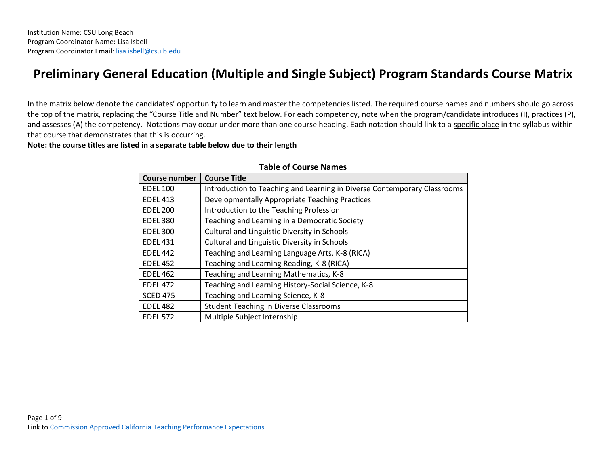## **Preliminary General Education (Multiple and Single Subject) Program Standards Course Matrix**

In the matrix below denote the candidates' opportunity to learn and master the competencies listed. The required course names and numbers should go across the top of the matrix, replacing the "Course Title and Number" text below. For each competency, note when the program/candidate introduces (I), practices (P), and assesses (A) the competency. Notations may occur under more than one course heading. Each notation should link to a specific place in the syllabus within that course that demonstrates that this is occurring.

**Note: the course titles are listed in a separate table below due to their length** 

| <b>Course number</b> | <b>Course Title</b>                                                      |
|----------------------|--------------------------------------------------------------------------|
| <b>EDEL 100</b>      | Introduction to Teaching and Learning in Diverse Contemporary Classrooms |
| <b>EDEL 413</b>      | Developmentally Appropriate Teaching Practices                           |
| <b>EDEL 200</b>      | Introduction to the Teaching Profession                                  |
| <b>EDEL 380</b>      | Teaching and Learning in a Democratic Society                            |
| <b>EDEL 300</b>      | Cultural and Linguistic Diversity in Schools                             |
| <b>EDEL 431</b>      | Cultural and Linguistic Diversity in Schools                             |
| <b>EDEL 442</b>      | Teaching and Learning Language Arts, K-8 (RICA)                          |
| <b>EDEL 452</b>      | Teaching and Learning Reading, K-8 (RICA)                                |
| <b>EDEL 462</b>      | Teaching and Learning Mathematics, K-8                                   |
| <b>EDEL 472</b>      | Teaching and Learning History-Social Science, K-8                        |
| <b>SCED 475</b>      | Teaching and Learning Science, K-8                                       |
| <b>EDEL 482</b>      | <b>Student Teaching in Diverse Classrooms</b>                            |
| <b>EDEL 572</b>      | Multiple Subject Internship                                              |

## **Table of Course Names**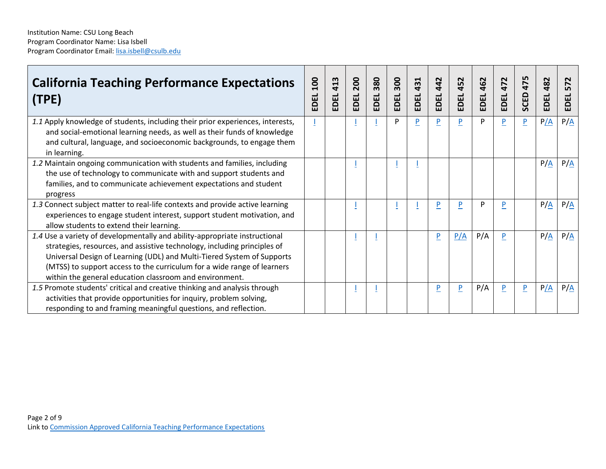| <b>California Teaching Performance Expectations</b><br>(TPE)                                                                                                                                                                                                                                                                                                           | $\mathsf{SO}$<br>EDEL | 413<br>EDEL | 200<br>EDEL | 380<br>EDEL | 300<br>EDEL | 431<br>EDEL | 442<br>EDEL    | 452<br>EDEL    | 462<br>EDEL | N<br>$\overline{47}$<br>EDEL | 475<br>SCED    | 482<br>EDEL       | N<br>$\blacktriangleright$<br>Ĺ٨<br>DEL<br>靣 |
|------------------------------------------------------------------------------------------------------------------------------------------------------------------------------------------------------------------------------------------------------------------------------------------------------------------------------------------------------------------------|-----------------------|-------------|-------------|-------------|-------------|-------------|----------------|----------------|-------------|------------------------------|----------------|-------------------|----------------------------------------------|
| 1.1 Apply knowledge of students, including their prior experiences, interests,<br>and social-emotional learning needs, as well as their funds of knowledge<br>and cultural, language, and socioeconomic backgrounds, to engage them<br>in learning.                                                                                                                    |                       |             |             |             | P           | P           | $\overline{P}$ | P              | P           | $\overline{P}$               | $\overline{P}$ | P/A               | $P/\underline{A}$                            |
| 1.2 Maintain ongoing communication with students and families, including<br>the use of technology to communicate with and support students and<br>families, and to communicate achievement expectations and student<br>progress                                                                                                                                        |                       |             |             |             |             |             |                |                |             |                              |                | $P/\underline{A}$ | $P/\underline{A}$                            |
| 1.3 Connect subject matter to real-life contexts and provide active learning<br>experiences to engage student interest, support student motivation, and<br>allow students to extend their learning.                                                                                                                                                                    |                       |             |             |             |             |             | P              | P              | P           |                              |                | P/A               | P/A                                          |
| 1.4 Use a variety of developmentally and ability-appropriate instructional<br>strategies, resources, and assistive technology, including principles of<br>Universal Design of Learning (UDL) and Multi-Tiered System of Supports<br>(MTSS) to support access to the curriculum for a wide range of learners<br>within the general education classroom and environment. |                       |             |             |             |             |             | $\overline{P}$ | P/A            | P/A         | P                            |                | $P/\underline{A}$ | $P/\underline{A}$                            |
| 1.5 Promote students' critical and creative thinking and analysis through<br>activities that provide opportunities for inquiry, problem solving,<br>responding to and framing meaningful questions, and reflection.                                                                                                                                                    |                       |             |             |             |             |             | $\overline{P}$ | $\overline{P}$ | P/A         | $\overline{P}$               | $\overline{P}$ | P/A               | $P/\underline{A}$                            |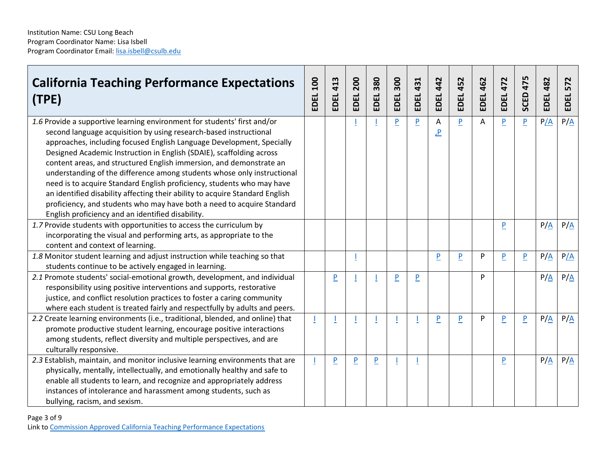| <b>California Teaching Performance Expectations</b><br>(TPE)                                                                                                                                                                                                                                                                                                                                                                                                                                                                                                                                                                                                                                                                              | $\overline{a}$<br>EDEL | 413<br>EDEL | 200<br><b>EDEL</b> | 380<br>EDEL    | 300<br>EDEL    | 431<br>EDEL    | 442<br><b>EDEL</b> | 452<br>EDEL    | 462<br>EDEL | 472<br>EDEL    | 475<br>SCED    | 482<br>EDEL       | 572<br>EDEL       |
|-------------------------------------------------------------------------------------------------------------------------------------------------------------------------------------------------------------------------------------------------------------------------------------------------------------------------------------------------------------------------------------------------------------------------------------------------------------------------------------------------------------------------------------------------------------------------------------------------------------------------------------------------------------------------------------------------------------------------------------------|------------------------|-------------|--------------------|----------------|----------------|----------------|--------------------|----------------|-------------|----------------|----------------|-------------------|-------------------|
| 1.6 Provide a supportive learning environment for students' first and/or<br>second language acquisition by using research-based instructional<br>approaches, including focused English Language Development, Specially<br>Designed Academic Instruction in English (SDAIE), scaffolding across<br>content areas, and structured English immersion, and demonstrate an<br>understanding of the difference among students whose only instructional<br>need is to acquire Standard English proficiency, students who may have<br>an identified disability affecting their ability to acquire Standard English<br>proficiency, and students who may have both a need to acquire Standard<br>English proficiency and an identified disability. |                        |             |                    |                | $\overline{P}$ | $\overline{P}$ | Α<br><u>.P</u>     | P              | A           | P              | $\overline{P}$ | P/A               | $P/\underline{A}$ |
| 1.7 Provide students with opportunities to access the curriculum by<br>incorporating the visual and performing arts, as appropriate to the<br>content and context of learning.                                                                                                                                                                                                                                                                                                                                                                                                                                                                                                                                                            |                        |             |                    |                |                |                |                    |                |             | P              |                | $P/\underline{A}$ | $P/\underline{A}$ |
| 1.8 Monitor student learning and adjust instruction while teaching so that<br>students continue to be actively engaged in learning.                                                                                                                                                                                                                                                                                                                                                                                                                                                                                                                                                                                                       |                        |             |                    |                |                |                | P                  | P              | P           | P              | $\overline{P}$ | $P/\underline{A}$ | P/A               |
| 2.1 Promote students' social-emotional growth, development, and individual<br>responsibility using positive interventions and supports, restorative<br>justice, and conflict resolution practices to foster a caring community<br>where each student is treated fairly and respectfully by adults and peers.                                                                                                                                                                                                                                                                                                                                                                                                                              |                        | P           |                    |                | $\overline{P}$ | $\overline{P}$ |                    |                | P           |                |                | P/A               | $P/\underline{A}$ |
| 2.2 Create learning environments (i.e., traditional, blended, and online) that<br>promote productive student learning, encourage positive interactions<br>among students, reflect diversity and multiple perspectives, and are<br>culturally responsive.                                                                                                                                                                                                                                                                                                                                                                                                                                                                                  |                        |             |                    |                |                | T              | P                  | $\overline{P}$ | P           | $\overline{P}$ | $\overline{P}$ | $P/\underline{A}$ | $P/\underline{A}$ |
| 2.3 Establish, maintain, and monitor inclusive learning environments that are<br>physically, mentally, intellectually, and emotionally healthy and safe to<br>enable all students to learn, and recognize and appropriately address<br>instances of intolerance and harassment among students, such as<br>bullying, racism, and sexism.                                                                                                                                                                                                                                                                                                                                                                                                   |                        | P           | P                  | $\overline{P}$ |                |                |                    |                |             | P              |                | $P/\underline{A}$ | $P/\underline{A}$ |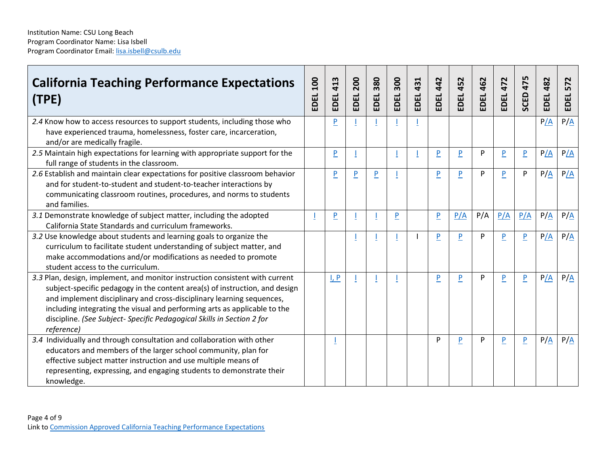| <b>California Teaching Performance Expectations</b><br>(TPE)                                                                                                                                                                                                                                                                                                                                              | <b>DOT</b><br>EDEL | 413<br>EDEL    | 200<br>EDEL    | 380<br>EDEL    | 300<br>EDEL    | 431<br>EDEL | 442<br>EDEL    | 452<br>$\vec{p}$<br>흡 | 462<br>EDEL | 472<br>EDEL    | 475<br>SCED    | 482<br>EDEL       | 572<br>EDEL       |
|-----------------------------------------------------------------------------------------------------------------------------------------------------------------------------------------------------------------------------------------------------------------------------------------------------------------------------------------------------------------------------------------------------------|--------------------|----------------|----------------|----------------|----------------|-------------|----------------|-----------------------|-------------|----------------|----------------|-------------------|-------------------|
| 2.4 Know how to access resources to support students, including those who<br>have experienced trauma, homelessness, foster care, incarceration,<br>and/or are medically fragile.                                                                                                                                                                                                                          |                    | P              |                |                |                |             |                |                       |             |                |                | P/A               | $P/\underline{A}$ |
| 2.5 Maintain high expectations for learning with appropriate support for the<br>full range of students in the classroom.                                                                                                                                                                                                                                                                                  |                    | P              |                |                |                |             | P              | P                     | P           | $\overline{P}$ | $\overline{P}$ | P/A               | P/A               |
| 2.6 Establish and maintain clear expectations for positive classroom behavior<br>and for student-to-student and student-to-teacher interactions by<br>communicating classroom routines, procedures, and norms to students<br>and families.                                                                                                                                                                |                    | P              | $\overline{P}$ | $\overline{P}$ |                |             | $\overline{P}$ | P                     | P           | P              | P              | $P/\underline{A}$ | P/A               |
| 3.1 Demonstrate knowledge of subject matter, including the adopted<br>California State Standards and curriculum frameworks.                                                                                                                                                                                                                                                                               |                    | $\overline{P}$ |                |                | $\overline{P}$ |             | P              | P/A                   | P/A         | P/A            | P/A            | $P/\underline{A}$ | $P/\underline{A}$ |
| 3.2 Use knowledge about students and learning goals to organize the<br>curriculum to facilitate student understanding of subject matter, and<br>make accommodations and/or modifications as needed to promote<br>student access to the curriculum.                                                                                                                                                        |                    |                |                |                |                |             | P              | P                     | P           | $\overline{P}$ | P              | P/A               | $P/\underline{A}$ |
| 3.3 Plan, design, implement, and monitor instruction consistent with current<br>subject-specific pedagogy in the content area(s) of instruction, and design<br>and implement disciplinary and cross-disciplinary learning sequences,<br>including integrating the visual and performing arts as applicable to the<br>discipline. (See Subject- Specific Pedagogical Skills in Section 2 for<br>reference) |                    | I, P           |                |                |                |             | P              | P                     | P           | $\overline{P}$ | P              | P/A               | $P/\underline{A}$ |
| 3.4 Individually and through consultation and collaboration with other<br>educators and members of the larger school community, plan for<br>effective subject matter instruction and use multiple means of<br>representing, expressing, and engaging students to demonstrate their<br>knowledge.                                                                                                          |                    |                |                |                |                |             | P              | P                     | P           | $\overline{P}$ | $\overline{P}$ | $P/\underline{A}$ | $P/\underline{A}$ |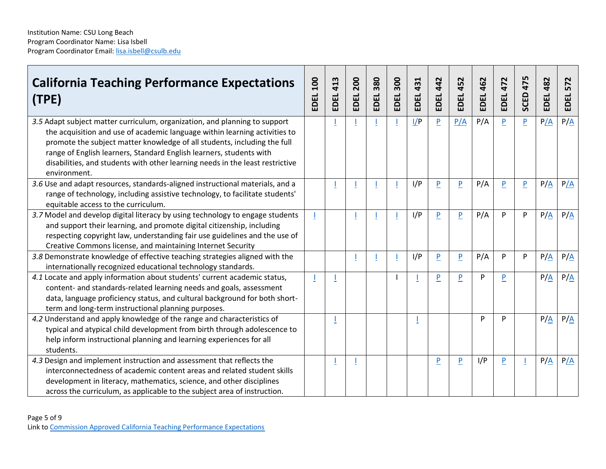| (TPE)        | <b>California Teaching Performance Expectations</b>                                                                                                                                                                                                                                                                                                                                          | 100<br>EDEL | 413<br>EDEL | 200<br>EDEL | 380<br>EDEL | 300<br>EDEL | 431<br>EDEL | 442<br>EDEL    | 452<br>EDEL    | 462<br>EDEL | 472<br>EDEL    | 475<br>SCED | 482<br>EDEL       | 572<br>EDEL       |
|--------------|----------------------------------------------------------------------------------------------------------------------------------------------------------------------------------------------------------------------------------------------------------------------------------------------------------------------------------------------------------------------------------------------|-------------|-------------|-------------|-------------|-------------|-------------|----------------|----------------|-------------|----------------|-------------|-------------------|-------------------|
|              |                                                                                                                                                                                                                                                                                                                                                                                              |             |             |             |             |             |             |                |                |             |                |             |                   |                   |
| environment. | 3.5 Adapt subject matter curriculum, organization, and planning to support<br>the acquisition and use of academic language within learning activities to<br>promote the subject matter knowledge of all students, including the full<br>range of English learners, Standard English learners, students with<br>disabilities, and students with other learning needs in the least restrictive |             |             |             |             |             | 1/P         | $\overline{P}$ | P/A            | P/A         | $\overline{P}$ | P           | P/A               | $P/\underline{A}$ |
|              | 3.6 Use and adapt resources, standards-aligned instructional materials, and a<br>range of technology, including assistive technology, to facilitate students'<br>equitable access to the curriculum.                                                                                                                                                                                         |             |             |             |             |             | I/P         | $\overline{P}$ | $\overline{P}$ | P/A         | P              | P           | $P/\underline{A}$ | P/A               |
|              | 3.7 Model and develop digital literacy by using technology to engage students<br>and support their learning, and promote digital citizenship, including<br>respecting copyright law, understanding fair use guidelines and the use of<br>Creative Commons license, and maintaining Internet Security                                                                                         |             |             |             |             |             | I/P         | $\overline{P}$ | $\overline{P}$ | P/A         | P              | P           | P/A               | P/A               |
|              | 3.8 Demonstrate knowledge of effective teaching strategies aligned with the<br>internationally recognized educational technology standards.                                                                                                                                                                                                                                                  |             |             |             |             |             | I/P         | $\overline{P}$ | $\overline{P}$ | P/A         | P              | P           | $P/\underline{A}$ | $P/\underline{A}$ |
|              | 4.1 Locate and apply information about students' current academic status,<br>content- and standards-related learning needs and goals, assessment<br>data, language proficiency status, and cultural background for both short-<br>term and long-term instructional planning purposes.                                                                                                        |             |             |             |             |             |             | $\overline{P}$ | P              | P           | $\overline{P}$ |             | $P/\underline{A}$ | $P/\underline{A}$ |
| students.    | 4.2 Understand and apply knowledge of the range and characteristics of<br>typical and atypical child development from birth through adolescence to<br>help inform instructional planning and learning experiences for all                                                                                                                                                                    |             |             |             |             |             |             |                |                | P           | P              |             | $P/\underline{A}$ | $P/\underline{A}$ |
|              | 4.3 Design and implement instruction and assessment that reflects the<br>interconnectedness of academic content areas and related student skills<br>development in literacy, mathematics, science, and other disciplines<br>across the curriculum, as applicable to the subject area of instruction.                                                                                         |             |             |             |             |             |             | $\overline{P}$ | $\overline{P}$ | I/P         | $\overline{P}$ |             | P/A               | P/A               |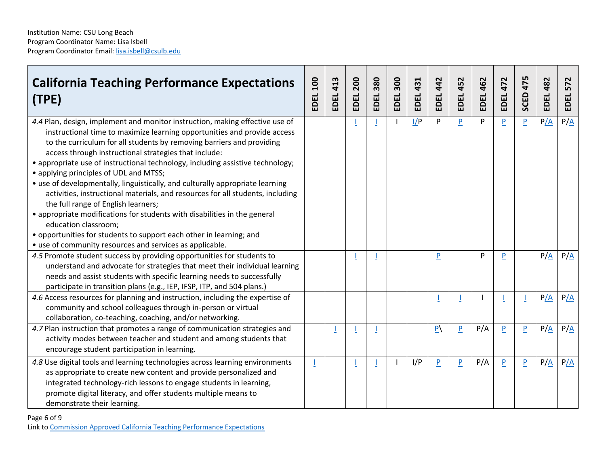| <b>California Teaching Performance Expectations</b><br>(TPE)                                                                                                                                                                                                                                                                                                                                                                                                                                                                                                                                                                                                                                                                                                                                                                                                             | <b>DOT</b><br>EDEL | 413<br>EDEL. | 200<br>EDEL | <b>EDEL 380</b> | 300<br>EDEL | 431<br>EDEL. | 442<br>EDEL    | 452<br>EDEL,   | 462<br>EDEL. | 472<br>EDEL    | 475<br>SCED    | 482<br>EDEL.      | <b>EDEL 572</b>   |
|--------------------------------------------------------------------------------------------------------------------------------------------------------------------------------------------------------------------------------------------------------------------------------------------------------------------------------------------------------------------------------------------------------------------------------------------------------------------------------------------------------------------------------------------------------------------------------------------------------------------------------------------------------------------------------------------------------------------------------------------------------------------------------------------------------------------------------------------------------------------------|--------------------|--------------|-------------|-----------------|-------------|--------------|----------------|----------------|--------------|----------------|----------------|-------------------|-------------------|
| 4.4 Plan, design, implement and monitor instruction, making effective use of<br>instructional time to maximize learning opportunities and provide access<br>to the curriculum for all students by removing barriers and providing<br>access through instructional strategies that include:<br>• appropriate use of instructional technology, including assistive technology;<br>• applying principles of UDL and MTSS;<br>• use of developmentally, linguistically, and culturally appropriate learning<br>activities, instructional materials, and resources for all students, including<br>the full range of English learners;<br>• appropriate modifications for students with disabilities in the general<br>education classroom;<br>• opportunities for students to support each other in learning; and<br>• use of community resources and services as applicable. |                    |              |             |                 |             | I/P          | P              | P              | P            | $\overline{P}$ | $\overline{P}$ | P/A               | $P/\underline{A}$ |
| 4.5 Promote student success by providing opportunities for students to<br>understand and advocate for strategies that meet their individual learning<br>needs and assist students with specific learning needs to successfully<br>participate in transition plans (e.g., IEP, IFSP, ITP, and 504 plans.)                                                                                                                                                                                                                                                                                                                                                                                                                                                                                                                                                                 |                    |              |             |                 |             |              | P              |                | P            | $\overline{P}$ |                | P/A               | P/A               |
| 4.6 Access resources for planning and instruction, including the expertise of<br>community and school colleagues through in-person or virtual<br>collaboration, co-teaching, coaching, and/or networking.                                                                                                                                                                                                                                                                                                                                                                                                                                                                                                                                                                                                                                                                |                    |              |             |                 |             |              |                |                |              |                |                | P/A               | P/A               |
| 4.7 Plan instruction that promotes a range of communication strategies and<br>activity modes between teacher and student and among students that<br>encourage student participation in learning.                                                                                                                                                                                                                                                                                                                                                                                                                                                                                                                                                                                                                                                                         |                    |              |             |                 |             |              | $\overline{P}$ | P              | P/A          | $\overline{P}$ | P              | $P/\underline{A}$ | $P/\underline{A}$ |
| 4.8 Use digital tools and learning technologies across learning environments<br>as appropriate to create new content and provide personalized and<br>integrated technology-rich lessons to engage students in learning,<br>promote digital literacy, and offer students multiple means to<br>demonstrate their learning.                                                                                                                                                                                                                                                                                                                                                                                                                                                                                                                                                 |                    |              |             |                 |             | I/P          | $\overline{P}$ | $\overline{P}$ | P/A          | P              | $\overline{P}$ | P/A               | P/A               |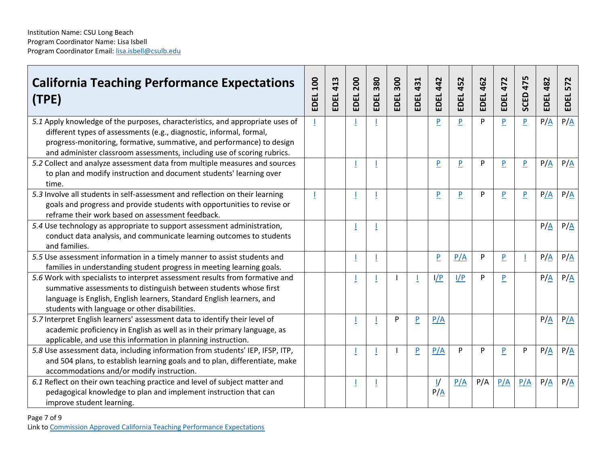| <b>California Teaching Performance Expectations</b><br>(TPE)                                                                                                                                                                                                                                             | 100<br>EDEL | 413<br>EDEL | 200<br>EDEL | 380<br>EDEL | 300<br>EDEL. | 431<br>EDEL.   | 442<br>EDEL.                       | 452<br>EDEL | 462<br>EDEL | 472<br>EDEL    | 475<br>SCED    | 482<br>EDEL       | 572<br>EDEL       |
|----------------------------------------------------------------------------------------------------------------------------------------------------------------------------------------------------------------------------------------------------------------------------------------------------------|-------------|-------------|-------------|-------------|--------------|----------------|------------------------------------|-------------|-------------|----------------|----------------|-------------------|-------------------|
| 5.1 Apply knowledge of the purposes, characteristics, and appropriate uses of<br>different types of assessments (e.g., diagnostic, informal, formal,<br>progress-monitoring, formative, summative, and performance) to design<br>and administer classroom assessments, including use of scoring rubrics. |             |             |             |             |              |                | P                                  | P           | P           | $\overline{P}$ | $\overline{P}$ | $P/\underline{A}$ | $P/\underline{A}$ |
| 5.2 Collect and analyze assessment data from multiple measures and sources<br>to plan and modify instruction and document students' learning over<br>time.                                                                                                                                               |             |             |             |             |              |                | P                                  | P           | P           | $\overline{P}$ | P              | $P/\underline{A}$ | $P/\underline{A}$ |
| 5.3 Involve all students in self-assessment and reflection on their learning<br>goals and progress and provide students with opportunities to revise or<br>reframe their work based on assessment feedback.                                                                                              |             |             |             |             |              |                | P                                  | P           | P           | P              | P              | P/A               | $P/\underline{A}$ |
| 5.4 Use technology as appropriate to support assessment administration,<br>conduct data analysis, and communicate learning outcomes to students<br>and families.                                                                                                                                         |             |             |             |             |              |                |                                    |             |             |                |                | $P/\underline{A}$ | $P/\underline{A}$ |
| 5.5 Use assessment information in a timely manner to assist students and<br>families in understanding student progress in meeting learning goals.                                                                                                                                                        |             |             |             |             |              |                | $\overline{P}$                     | P/A         | P           | $\overline{P}$ |                | $P/\underline{A}$ | $P/\underline{A}$ |
| 5.6 Work with specialists to interpret assessment results from formative and<br>summative assessments to distinguish between students whose first<br>language is English, English learners, Standard English learners, and<br>students with language or other disabilities.                              |             |             |             |             |              |                | I/P                                | I/P         | P           | P              |                | $P/\underline{A}$ | $P/\underline{A}$ |
| 5.7 Interpret English learners' assessment data to identify their level of<br>academic proficiency in English as well as in their primary language, as<br>applicable, and use this information in planning instruction.                                                                                  |             |             |             |             | P            | $\overline{P}$ | P/A                                |             |             |                |                | P/A               | P/A               |
| 5.8 Use assessment data, including information from students' IEP, IFSP, ITP,<br>and 504 plans, to establish learning goals and to plan, differentiate, make<br>accommodations and/or modify instruction.                                                                                                |             |             |             |             |              | P              | P/A                                | P           | P           | P              | P              | $P/\underline{A}$ | $P/\underline{A}$ |
| 6.1 Reflect on their own teaching practice and level of subject matter and<br>pedagogical knowledge to plan and implement instruction that can<br>improve student learning.                                                                                                                              |             |             |             |             |              |                | $\frac{1}{2}$<br>$P/\underline{A}$ | P/A         | P/A         | P/A            | P/A            | $P/\underline{A}$ | P/A               |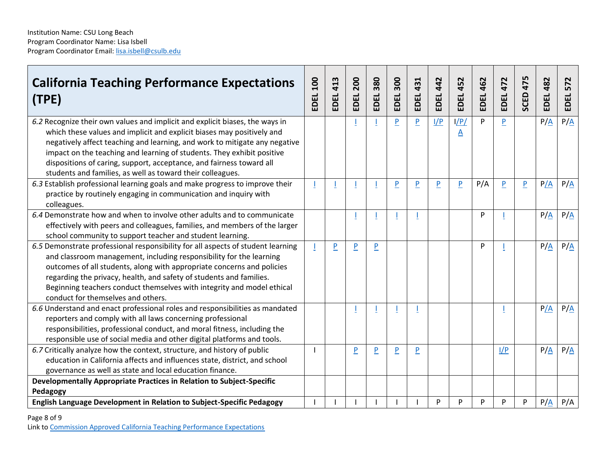| <b>California Teaching Performance Expectations</b><br>(TPE)                                                                                                                                                                                                                                                                                                                                                                                         | 100<br>EDEL | 413<br>EDEL | 200<br>EDEL    | 380<br>EDEL    | 300<br>EDEL    | 431<br>EDEL    | 442<br>EDEL    | 452<br>EDEL                     | 462<br>EDEL | 472<br>EDEL    | 475<br>SCED | 482<br>EDEL       | 572<br>EDEL       |
|------------------------------------------------------------------------------------------------------------------------------------------------------------------------------------------------------------------------------------------------------------------------------------------------------------------------------------------------------------------------------------------------------------------------------------------------------|-------------|-------------|----------------|----------------|----------------|----------------|----------------|---------------------------------|-------------|----------------|-------------|-------------------|-------------------|
| 6.2 Recognize their own values and implicit and explicit biases, the ways in<br>which these values and implicit and explicit biases may positively and<br>negatively affect teaching and learning, and work to mitigate any negative<br>impact on the teaching and learning of students. They exhibit positive<br>dispositions of caring, support, acceptance, and fairness toward all<br>students and families, as well as toward their colleagues. |             |             |                |                | $\overline{P}$ | $\overline{P}$ | 1/P            | I/P/<br>$\overline{\mathsf{A}}$ | P           | $\overline{P}$ |             | $P/\underline{A}$ | $P/\underline{A}$ |
| 6.3 Establish professional learning goals and make progress to improve their<br>practice by routinely engaging in communication and inquiry with<br>colleagues.                                                                                                                                                                                                                                                                                      |             |             |                |                | $\overline{P}$ | $\overline{P}$ | $\overline{P}$ | P                               | P/A         | P              | P           | P/A               | $P/\underline{A}$ |
| 6.4 Demonstrate how and when to involve other adults and to communicate<br>effectively with peers and colleagues, families, and members of the larger<br>school community to support teacher and student learning.                                                                                                                                                                                                                                   |             |             |                |                |                |                |                |                                 | P           |                |             | P/A               | $P/\underline{A}$ |
| 6.5 Demonstrate professional responsibility for all aspects of student learning<br>and classroom management, including responsibility for the learning<br>outcomes of all students, along with appropriate concerns and policies<br>regarding the privacy, health, and safety of students and families.<br>Beginning teachers conduct themselves with integrity and model ethical<br>conduct for themselves and others.                              |             | P           | $\overline{P}$ | $\overline{P}$ |                |                |                |                                 | P           |                |             | $P/\underline{A}$ | $P/\underline{A}$ |
| 6.6 Understand and enact professional roles and responsibilities as mandated<br>reporters and comply with all laws concerning professional<br>responsibilities, professional conduct, and moral fitness, including the<br>responsible use of social media and other digital platforms and tools.                                                                                                                                                     |             |             |                |                |                |                |                |                                 |             |                |             | P/A               | $P/\underline{A}$ |
| 6.7 Critically analyze how the context, structure, and history of public<br>education in California affects and influences state, district, and school<br>governance as well as state and local education finance.                                                                                                                                                                                                                                   |             |             | $\overline{P}$ | P              | $\overline{P}$ | $\overline{P}$ |                |                                 |             | I/P            |             | $P/\underline{A}$ | $P/\underline{A}$ |
| Developmentally Appropriate Practices in Relation to Subject-Specific                                                                                                                                                                                                                                                                                                                                                                                |             |             |                |                |                |                |                |                                 |             |                |             |                   |                   |
| Pedagogy<br><b>English Language Development in Relation to Subject-Specific Pedagogy</b>                                                                                                                                                                                                                                                                                                                                                             |             |             |                |                |                |                | P              | P                               | P           | P              | P           | $P/\underline{A}$ | P/A               |